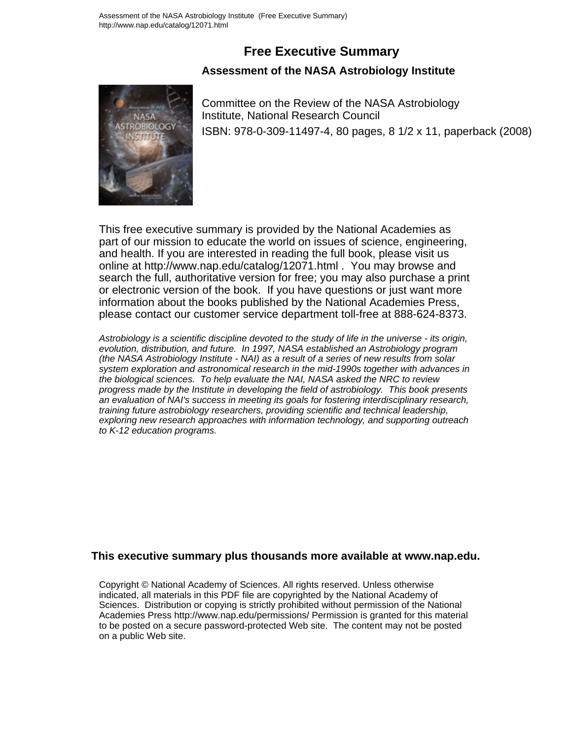Assessment of the NASA Astrobiology Institute (Free Executive Summary) <http://www.nap.edu/catalog/12071.html>

### **Free Executive Summary Assessment of the NASA Astrobiology Institute**



ISBN: 978-0-309-11497-4, 80 pages, 8 1/2 x 11, paperback (2008) Committee on the Review of the NASA Astrobiology Institute, National Research Council

This free executive summary is provided by the National Academies as part of our mission to educate the world on issues of science, engineering, and health. If you are interested in reading the full book, please visit us online at <http://www.nap.edu/catalog/12071.html>. You may browse and search the full, authoritative version for free; you may also purchase a print or electronic version of the book. If you have questions or just want more information about the books published by the National Academies Press, please contact our customer service department toll-free at 888-624-8373.

Astrobiology is a scientific discipline devoted to the study of life in the universe - its origin, evolution, distribution, and future. In 1997, NASA established an Astrobiology program (the NASA Astrobiology Institute - NAI) as a result of a series of new results from solar system exploration and astronomical research in the mid-1990s together with advances in the biological sciences. To help evaluate the NAI, NASA asked the NRC to review progress made by the Institute in developing the field of astrobiology. This book presents an evaluation of NAI's success in meeting its goals for fostering interdisciplinary research, training future astrobiology researchers, providing scientific and technical leadership, exploring new research approaches with information technology, and supporting outreach to K-12 education programs.

### **This executive summary plus thousands more available at www.nap.edu.**

Copyright © National Academy of Sciences. All rights reserved. Unless otherwise indicated, all materials in this PDF file are copyrighted by the National Academy of Sciences. Distribution or copying is strictly prohibited without permission of the National Academies Press [http://www.nap.edu/permissions/ P](http://www.nap.edu/permissions/)ermission is granted for this material to be posted on a secure password-protected Web site. The content may not be posted on a public Web site.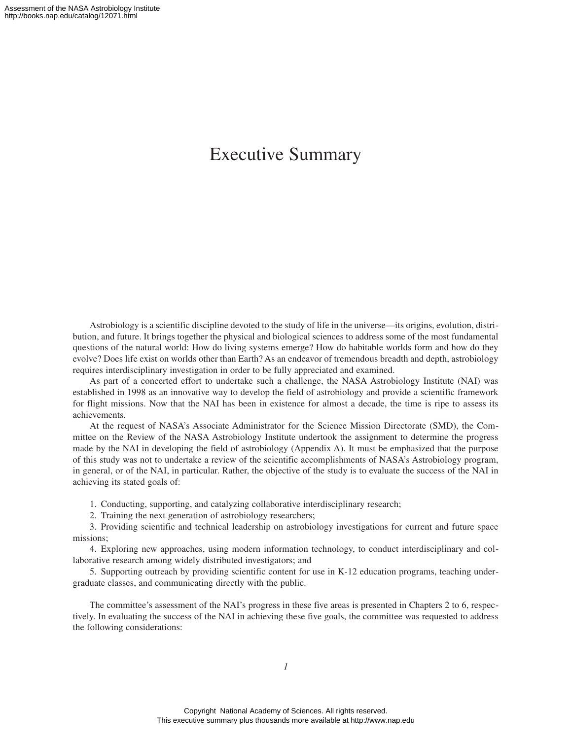## Executive Summary

Astrobiology is a scientific discipline devoted to the study of life in the universe—its origins, evolution, distribution, and future. It brings together the physical and biological sciences to address some of the most fundamental questions of the natural world: How do living systems emerge? How do habitable worlds form and how do they evolve? Does life exist on worlds other than Earth? As an endeavor of tremendous breadth and depth, astrobiology requires interdisciplinary investigation in order to be fully appreciated and examined.

As part of a concerted effort to undertake such a challenge, the NASA Astrobiology Institute (NAI) was established in 1998 as an innovative way to develop the field of astrobiology and provide a scientific framework for flight missions. Now that the NAI has been in existence for almost a decade, the time is ripe to assess its achievements.

At the request of NASA's Associate Administrator for the Science Mission Directorate (SMD), the Committee on the Review of the NASA Astrobiology Institute undertook the assignment to determine the progress made by the NAI in developing the field of astrobiology (Appendix A). It must be emphasized that the purpose of this study was not to undertake a review of the scientific accomplishments of NASA's Astrobiology program, in general, or of the NAI, in particular. Rather, the objective of the study is to evaluate the success of the NAI in achieving its stated goals of:

1. Conducting, supporting, and catalyzing collaborative interdisciplinary research;

2. Training the next generation of astrobiology researchers;

3. Providing scientific and technical leadership on astrobiology investigations for current and future space missions;

4. Exploring new approaches, using modern information technology, to conduct interdisciplinary and collaborative research among widely distributed investigators; and

5. Supporting outreach by providing scientific content for use in K-12 education programs, teaching undergraduate classes, and communicating directly with the public.

The committee's assessment of the NAI's progress in these five areas is presented in Chapters 2 to 6, respectively. In evaluating the success of the NAI in achieving these five goals, the committee was requested to address the following considerations: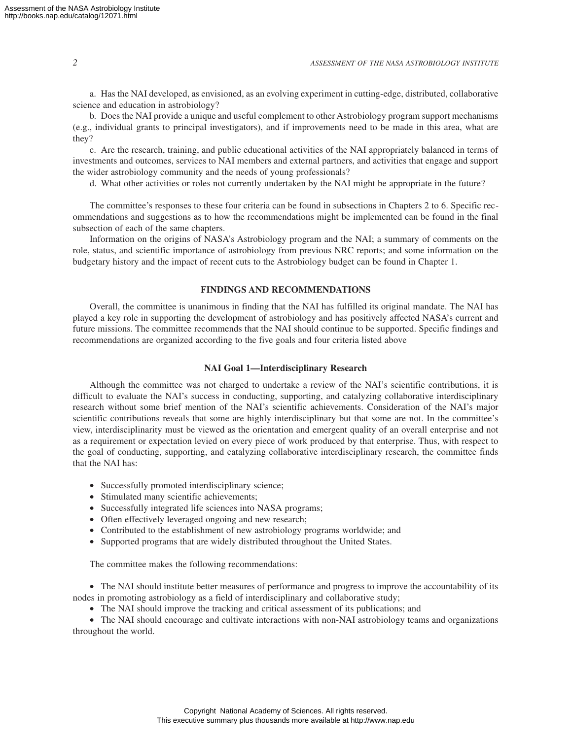a. Has the NAI developed, as envisioned, as an evolving experiment in cutting-edge, distributed, collaborative science and education in astrobiology?

b. Does the NAI provide a unique and useful complement to other Astrobiology program support mechanisms (e.g., individual grants to principal investigators), and if improvements need to be made in this area, what are they?

c. Are the research, training, and public educational activities of the NAI appropriately balanced in terms of investments and outcomes, services to NAI members and external partners, and activities that engage and support the wider astrobiology community and the needs of young professionals?

d. What other activities or roles not currently undertaken by the NAI might be appropriate in the future?

The committee's responses to these four criteria can be found in subsections in Chapters 2 to 6. Specific recommendations and suggestions as to how the recommendations might be implemented can be found in the final subsection of each of the same chapters.

Information on the origins of NASA's Astrobiology program and the NAI; a summary of comments on the role, status, and scientific importance of astrobiology from previous NRC reports; and some information on the budgetary history and the impact of recent cuts to the Astrobiology budget can be found in Chapter 1.

### **FINDINGS AND RECOMMENDATIONS**

Overall, the committee is unanimous in finding that the NAI has fulfilled its original mandate. The NAI has played a key role in supporting the development of astrobiology and has positively affected NASA's current and future missions. The committee recommends that the NAI should continue to be supported. Specific findings and recommendations are organized according to the five goals and four criteria listed above

### **NAI Goal 1—Interdisciplinary Research**

Although the committee was not charged to undertake a review of the NAI's scientific contributions, it is difficult to evaluate the NAI's success in conducting, supporting, and catalyzing collaborative interdisciplinary research without some brief mention of the NAI's scientific achievements. Consideration of the NAI's major scientific contributions reveals that some are highly interdisciplinary but that some are not. In the committee's view, interdisciplinarity must be viewed as the orientation and emergent quality of an overall enterprise and not as a requirement or expectation levied on every piece of work produced by that enterprise. Thus, with respect to the goal of conducting, supporting, and catalyzing collaborative interdisciplinary research, the committee finds that the NAI has:

- Successfully promoted interdisciplinary science;
- Stimulated many scientific achievements;
- Successfully integrated life sciences into NASA programs;
- Often effectively leveraged ongoing and new research;
- Contributed to the establishment of new astrobiology programs worldwide; and
- Supported programs that are widely distributed throughout the United States.

The committee makes the following recommendations:

• The NAI should institute better measures of performance and progress to improve the accountability of its nodes in promoting astrobiology as a field of interdisciplinary and collaborative study;

• The NAI should improve the tracking and critical assessment of its publications; and

• The NAI should encourage and cultivate interactions with non-NAI astrobiology teams and organizations throughout the world.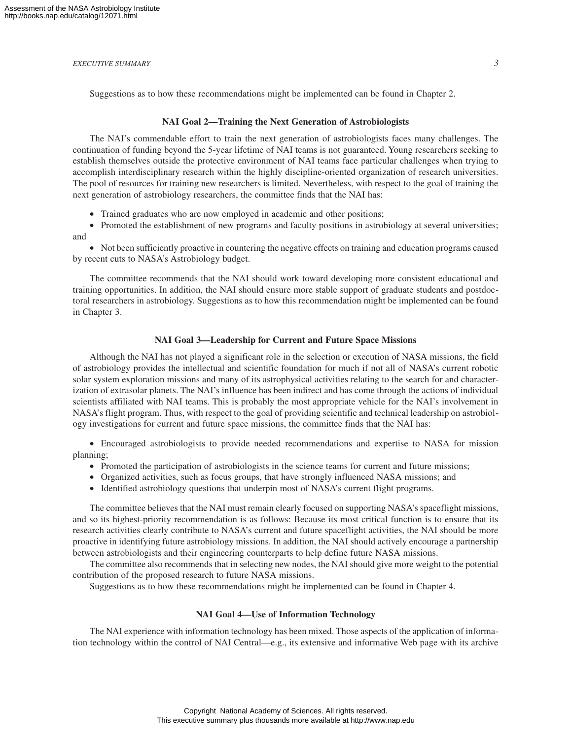### **EXECUTIVE SUMMARY** 3

Suggestions as to how these recommendations might be implemented can be found in Chapter 2.

### **NAI Goal 2—Training the Next Generation of Astrobiologists**

The NAI's commendable effort to train the next generation of astrobiologists faces many challenges. The continuation of funding beyond the 5-year lifetime of NAI teams is not guaranteed. Young researchers seeking to establish themselves outside the protective environment of NAI teams face particular challenges when trying to accomplish interdisciplinary research within the highly discipline-oriented organization of research universities. The pool of resources for training new researchers is limited. Nevertheless, with respect to the goal of training the next generation of astrobiology researchers, the committee finds that the NAI has:

- Trained graduates who are now employed in academic and other positions;
- Promoted the establishment of new programs and faculty positions in astrobiology at several universities; and

• Not been sufficiently proactive in countering the negative effects on training and education programs caused by recent cuts to NASA's Astrobiology budget.

The committee recommends that the NAI should work toward developing more consistent educational and training opportunities. In addition, the NAI should ensure more stable support of graduate students and postdoctoral researchers in astrobiology. Suggestions as to how this recommendation might be implemented can be found in Chapter 3.

### **NAI Goal 3—Leadership for Current and Future Space Missions**

Although the NAI has not played a significant role in the selection or execution of NASA missions, the field of astrobiology provides the intellectual and scientific foundation for much if not all of NASA's current robotic solar system exploration missions and many of its astrophysical activities relating to the search for and characterization of extrasolar planets. The NAI's influence has been indirect and has come through the actions of individual scientists affiliated with NAI teams. This is probably the most appropriate vehicle for the NAI's involvement in NASA's flight program. Thus, with respect to the goal of providing scientific and technical leadership on astrobiology investigations for current and future space missions, the committee finds that the NAI has:

• Encouraged astrobiologists to provide needed recommendations and expertise to NASA for mission planning;

- Promoted the participation of astrobiologists in the science teams for current and future missions;
- Organized activities, such as focus groups, that have strongly influenced NASA missions; and
- Identified astrobiology questions that underpin most of NASA's current flight programs.

The committee believes that the NAI must remain clearly focused on supporting NASA's spaceflight missions, and so its highest-priority recommendation is as follows: Because its most critical function is to ensure that its research activities clearly contribute to NASA's current and future spaceflight activities, the NAI should be more proactive in identifying future astrobiology missions. In addition, the NAI should actively encourage a partnership between astrobiologists and their engineering counterparts to help define future NASA missions.

The committee also recommends that in selecting new nodes, the NAI should give more weight to the potential contribution of the proposed research to future NASA missions.

Suggestions as to how these recommendations might be implemented can be found in Chapter 4.

### **NAI Goal 4—Use of Information Technology**

The NAI experience with information technology has been mixed. Those aspects of the application of information technology within the control of NAI Central—e.g., its extensive and informative Web page with its archive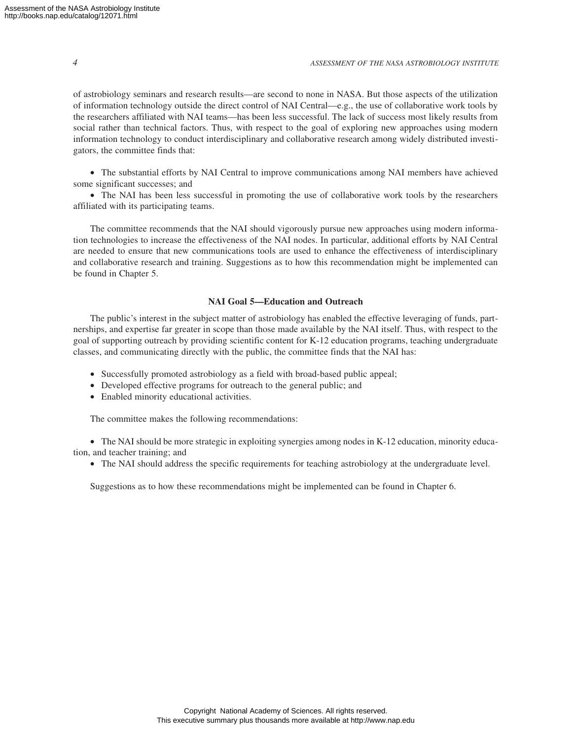*ASSESSMENT OF THE NASA ASTROBIOLOGY INSTITUTE*

of astrobiology seminars and research results—are second to none in NASA. But those aspects of the utilization of information technology outside the direct control of NAI Central—e.g., the use of collaborative work tools by the researchers affiliated with NAI teams—has been less successful. The lack of success most likely results from social rather than technical factors. Thus, with respect to the goal of exploring new approaches using modern information technology to conduct interdisciplinary and collaborative research among widely distributed investigators, the committee finds that:

• The substantial efforts by NAI Central to improve communications among NAI members have achieved some significant successes; and

• The NAI has been less successful in promoting the use of collaborative work tools by the researchers affiliated with its participating teams.

The committee recommends that the NAI should vigorously pursue new approaches using modern information technologies to increase the effectiveness of the NAI nodes. In particular, additional efforts by NAI Central are needed to ensure that new communications tools are used to enhance the effectiveness of interdisciplinary and collaborative research and training. Suggestions as to how this recommendation might be implemented can be found in Chapter 5.

### **NAI Goal 5—Education and Outreach**

The public's interest in the subject matter of astrobiology has enabled the effective leveraging of funds, partnerships, and expertise far greater in scope than those made available by the NAI itself. Thus, with respect to the goal of supporting outreach by providing scientific content for K-12 education programs, teaching undergraduate classes, and communicating directly with the public, the committee finds that the NAI has:

- Successfully promoted astrobiology as a field with broad-based public appeal;
- Developed effective programs for outreach to the general public; and
- Enabled minority educational activities.

The committee makes the following recommendations:

• The NAI should be more strategic in exploiting synergies among nodes in K-12 education, minority education, and teacher training; and

• The NAI should address the specific requirements for teaching astrobiology at the undergraduate level.

Suggestions as to how these recommendations might be implemented can be found in Chapter 6.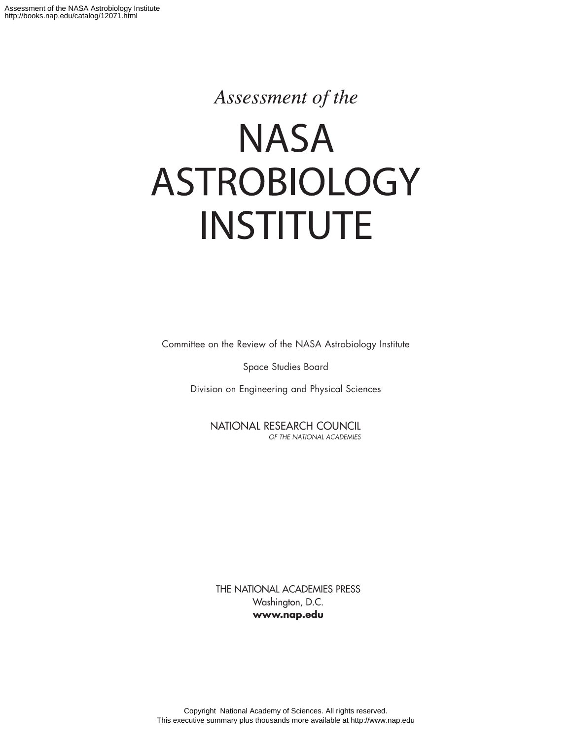Assessment of the

# **NASA** ASTROBIOLOGY **INSTITUTE**

Committee on the Review of the NASA Astrobiology Institute

Space Studies Board

Division on Engineering and Physical Sciences

NATIONAL RESEARCH COUNCIL OF THE NATIONAL ACADEMIES

THE NATIONAL ACADEMIES PRESS Washington, D.C. www.nap.edu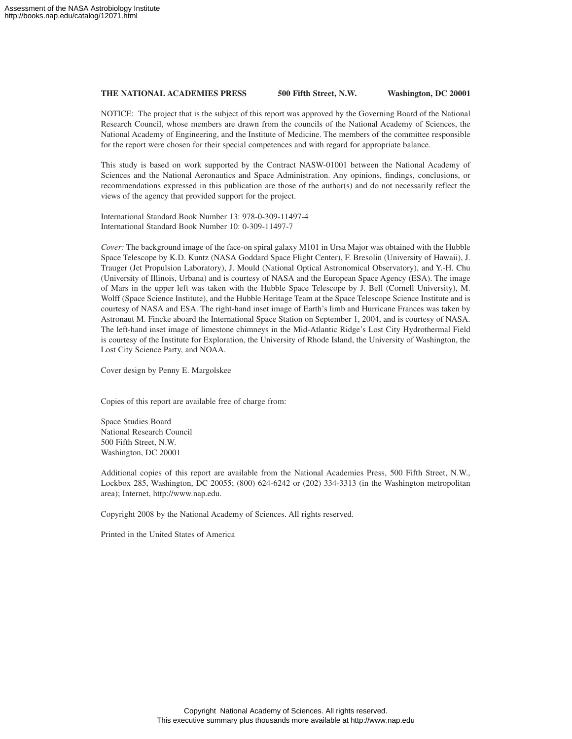### **THE NATIONAL ACADEMIES PRESS 500 Fifth Street, N.W. Washington, DC 20001**

NOTICE: The project that is the subject of this report was approved by the Governing Board of the National Research Council, whose members are drawn from the councils of the National Academy of Sciences, the National Academy of Engineering, and the Institute of Medicine. The members of the committee responsible for the report were chosen for their special competences and with regard for appropriate balance.

This study is based on work supported by the Contract NASW-01001 between the National Academy of Sciences and the National Aeronautics and Space Administration. Any opinions, findings, conclusions, or recommendations expressed in this publication are those of the author(s) and do not necessarily reflect the views of the agency that provided support for the project.

International Standard Book Number 13: 978-0-309-11497-4 International Standard Book Number 10: 0-309-11497-7

*Cover:* The background image of the face-on spiral galaxy M101 in Ursa Major was obtained with the Hubble Space Telescope by K.D. Kuntz (NASA Goddard Space Flight Center), F. Bresolin (University of Hawaii), J. Trauger (Jet Propulsion Laboratory), J. Mould (National Optical Astronomical Observatory), and Y.-H. Chu (University of Illinois, Urbana) and is courtesy of NASA and the European Space Agency (ESA). The image of Mars in the upper left was taken with the Hubble Space Telescope by J. Bell (Cornell University), M. Wolff (Space Science Institute), and the Hubble Heritage Team at the Space Telescope Science Institute and is courtesy of NASA and ESA. The right-hand inset image of Earth's limb and Hurricane Frances was taken by Astronaut M. Fincke aboard the International Space Station on September 1, 2004, and is courtesy of NASA. The left-hand inset image of limestone chimneys in the Mid-Atlantic Ridge's Lost City Hydrothermal Field is courtesy of the Institute for Exploration, the University of Rhode Island, the University of Washington, the Lost City Science Party, and NOAA.

Cover design by Penny E. Margolskee

Copies of this report are available free of charge from:

Space Studies Board National Research Council 500 Fifth Street, N.W. Washington, DC 20001

Additional copies of this report are available from the National Academies Press, 500 Fifth Street, N.W., Lockbox 285, Washington, DC 20055; (800) 624-6242 or (202) 334-3313 (in the Washington metropolitan area); Internet, http://www.nap.edu.

Copyright 2008 by the National Academy of Sciences. All rights reserved.

Printed in the United States of America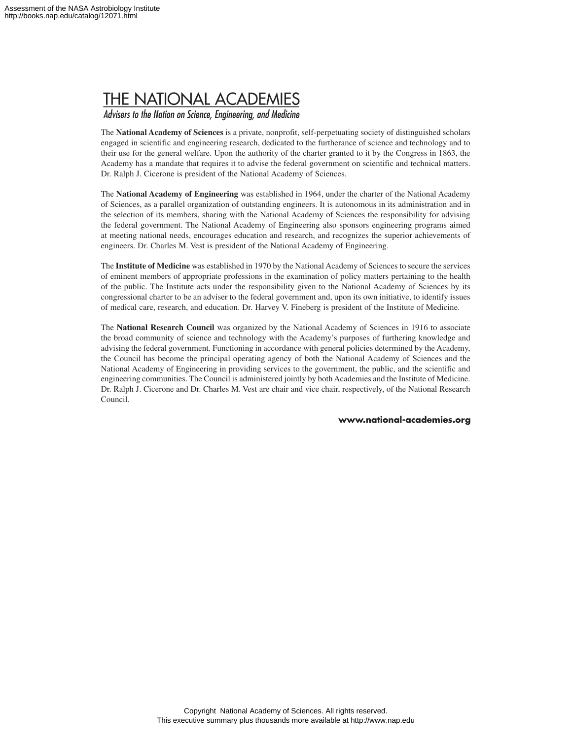# **THE NATIONAL ACADEMIES**

Advisers to the Nation on Science, Engineering, and Medicine

The **National Academy of Sciences** is a private, nonprofit, self-perpetuating society of distinguished scholars engaged in scientific and engineering research, dedicated to the furtherance of science and technology and to their use for the general welfare. Upon the authority of the charter granted to it by the Congress in 1863, the Academy has a mandate that requires it to advise the federal government on scientific and technical matters. Dr. Ralph J. Cicerone is president of the National Academy of Sciences.

The **National Academy of Engineering** was established in 1964, under the charter of the National Academy of Sciences, as a parallel organization of outstanding engineers. It is autonomous in its administration and in the selection of its members, sharing with the National Academy of Sciences the responsibility for advising the federal government. The National Academy of Engineering also sponsors engineering programs aimed at meeting national needs, encourages education and research, and recognizes the superior achievements of engineers. Dr. Charles M. Vest is president of the National Academy of Engineering.

The **Institute of Medicine** was established in 1970 by the National Academy of Sciences to secure the services of eminent members of appropriate professions in the examination of policy matters pertaining to the health of the public. The Institute acts under the responsibility given to the National Academy of Sciences by its congressional charter to be an adviser to the federal government and, upon its own initiative, to identify issues of medical care, research, and education. Dr. Harvey V. Fineberg is president of the Institute of Medicine.

The **National Research Council** was organized by the National Academy of Sciences in 1916 to associate the broad community of science and technology with the Academy's purposes of furthering knowledge and advising the federal government. Functioning in accordance with general policies determined by the Academy, the Council has become the principal operating agency of both the National Academy of Sciences and the National Academy of Engineering in providing services to the government, the public, and the scientific and engineering communities. The Council is administered jointly by both Academies and the Institute of Medicine. Dr. Ralph J. Cicerone and Dr. Charles M. Vest are chair and vice chair, respectively, of the National Research Council.

**www.national-academies.org**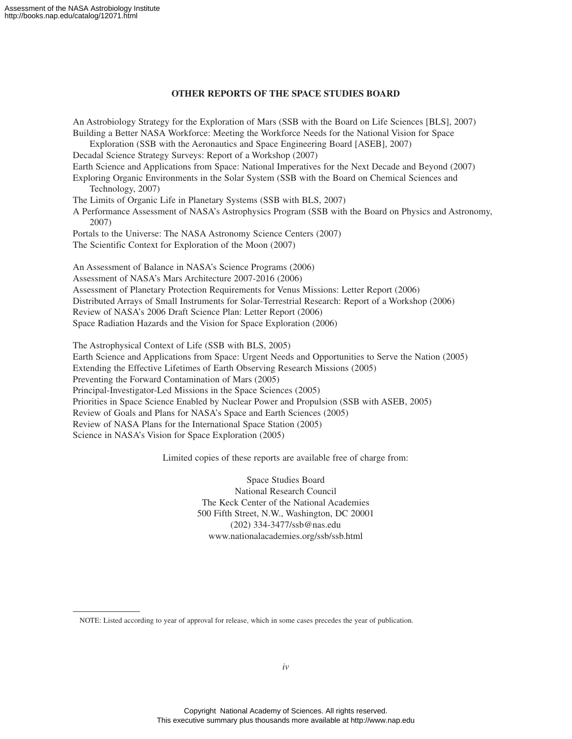### **OTHER REPORTS OF THE SPACE STUDIES BOARD**

An Astrobiology Strategy for the Exploration of Mars (SSB with the Board on Life Sciences [BLS], 2007) Building a Better NASA Workforce: Meeting the Workforce Needs for the National Vision for Space Exploration (SSB with the Aeronautics and Space Engineering Board [ASEB], 2007) Decadal Science Strategy Surveys: Report of a Workshop (2007) Earth Science and Applications from Space: National Imperatives for the Next Decade and Beyond (2007) Exploring Organic Environments in the Solar System (SSB with the Board on Chemical Sciences and Technology, 2007) The Limits of Organic Life in Planetary Systems (SSB with BLS, 2007) A Performance Assessment of NASA's Astrophysics Program (SSB with the Board on Physics and Astronomy, 2007) Portals to the Universe: The NASA Astronomy Science Centers (2007) The Scientific Context for Exploration of the Moon (2007) An Assessment of Balance in NASA's Science Programs (2006) Assessment of NASA's Mars Architecture 2007-2016 (2006)

Assessment of Planetary Protection Requirements for Venus Missions: Letter Report (2006) Distributed Arrays of Small Instruments for Solar-Terrestrial Research: Report of a Workshop (2006) Review of NASA's 2006 Draft Science Plan: Letter Report (2006) Space Radiation Hazards and the Vision for Space Exploration (2006)

The Astrophysical Context of Life (SSB with BLS, 2005) Earth Science and Applications from Space: Urgent Needs and Opportunities to Serve the Nation (2005) Extending the Effective Lifetimes of Earth Observing Research Missions (2005) Preventing the Forward Contamination of Mars (2005) Principal-Investigator-Led Missions in the Space Sciences (2005) Priorities in Space Science Enabled by Nuclear Power and Propulsion (SSB with ASEB, 2005)

Review of Goals and Plans for NASA's Space and Earth Sciences (2005) Review of NASA Plans for the International Space Station (2005) Science in NASA's Vision for Space Exploration (2005)

Limited copies of these reports are available free of charge from:

Space Studies Board National Research Council The Keck Center of the National Academies 500 Fifth Street, N.W., Washington, DC 20001 (202) 334-3477/ssb@nas.edu www.nationalacademies.org/ssb/ssb.html

NOTE: Listed according to year of approval for release, which in some cases precedes the year of publication.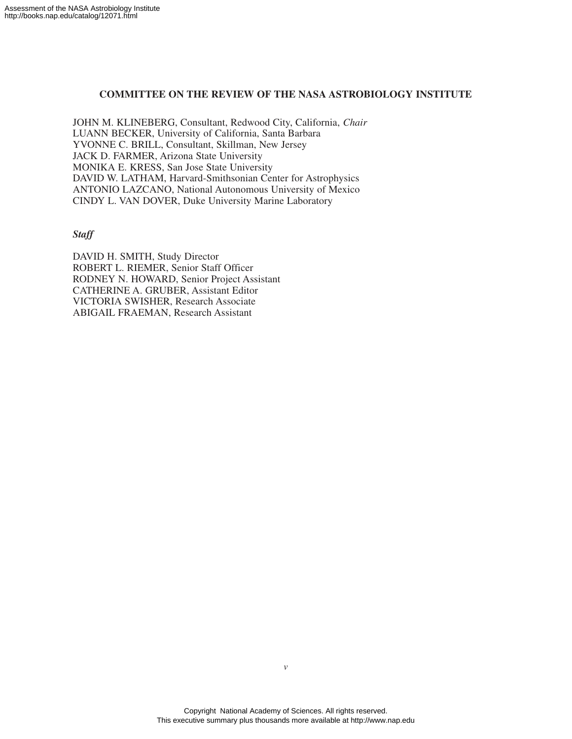### **COMMITTEE ON THE REVIEW OF THE NASA ASTROBIOLOGY INSTITUTE**

JOHN M. KLINEBERG, Consultant, Redwood City, California, *Chair* LUANN BECKER, University of California, Santa Barbara YVONNE C. BRILL, Consultant, Skillman, New Jersey JACK D. FARMER, Arizona State University MONIKA E. KRESS, San Jose State University DAVID W. LATHAM, Harvard-Smithsonian Center for Astrophysics ANTONIO LAZCANO, National Autonomous University of Mexico CINDY L. VAN DOVER, Duke University Marine Laboratory

*Staff*

DAVID H. SMITH, Study Director ROBERT L. RIEMER, Senior Staff Officer RODNEY N. HOWARD, Senior Project Assistant CATHERINE A. GRUBER, Assistant Editor VICTORIA SWISHER, Research Associate ABIGAIL FRAEMAN, Research Assistant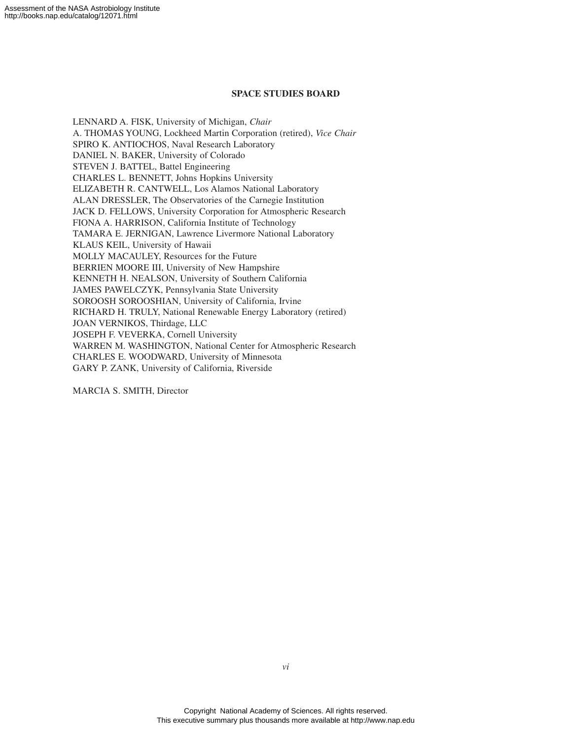### **SPACE STUDIES BOARD**

LENNARD A. FISK, University of Michigan, *Chair* A. THOMAS YOUNG, Lockheed Martin Corporation (retired), *Vice Chair* SPIRO K. ANTIOCHOS, Naval Research Laboratory DANIEL N. BAKER, University of Colorado STEVEN J. BATTEL, Battel Engineering CHARLES L. BENNETT, Johns Hopkins University ELIZABETH R. CANTWELL, Los Alamos National Laboratory ALAN DRESSLER, The Observatories of the Carnegie Institution JACK D. FELLOWS, University Corporation for Atmospheric Research FIONA A. HARRISON, California Institute of Technology TAMARA E. JERNIGAN, Lawrence Livermore National Laboratory KLAUS KEIL, University of Hawaii MOLLY MACAULEY, Resources for the Future BERRIEN MOORE III, University of New Hampshire KENNETH H. NEALSON, University of Southern California JAMES PAWELCZYK, Pennsylvania State University SOROOSH SOROOSHIAN, University of California, Irvine RICHARD H. TRULY, National Renewable Energy Laboratory (retired) JOAN VERNIKOS, Thirdage, LLC JOSEPH F. VEVERKA, Cornell University WARREN M. WASHINGTON, National Center for Atmospheric Research CHARLES E. WOODWARD, University of Minnesota GARY P. ZANK, University of California, Riverside

MARCIA S. SMITH, Director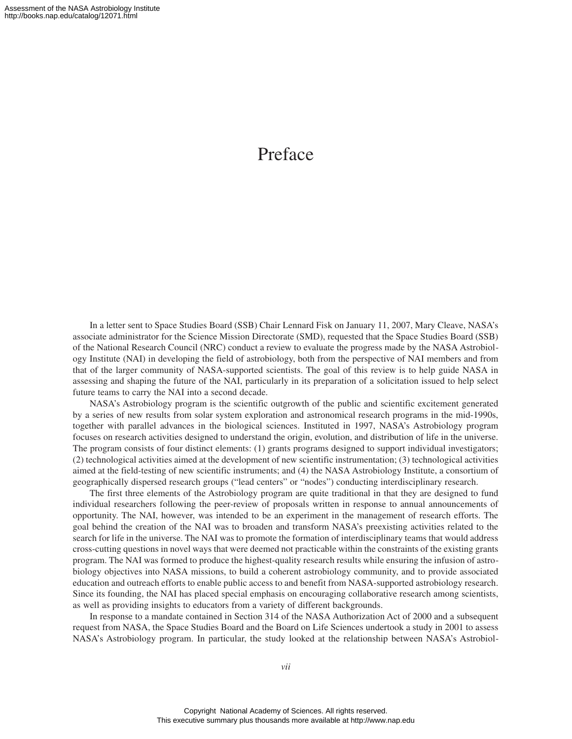## Preface

In a letter sent to Space Studies Board (SSB) Chair Lennard Fisk on January 11, 2007, Mary Cleave, NASA's associate administrator for the Science Mission Directorate (SMD), requested that the Space Studies Board (SSB) of the National Research Council (NRC) conduct a review to evaluate the progress made by the NASA Astrobiology Institute (NAI) in developing the field of astrobiology, both from the perspective of NAI members and from that of the larger community of NASA-supported scientists. The goal of this review is to help guide NASA in assessing and shaping the future of the NAI, particularly in its preparation of a solicitation issued to help select future teams to carry the NAI into a second decade.

NASA's Astrobiology program is the scientific outgrowth of the public and scientific excitement generated by a series of new results from solar system exploration and astronomical research programs in the mid-1990s, together with parallel advances in the biological sciences. Instituted in 1997, NASA's Astrobiology program focuses on research activities designed to understand the origin, evolution, and distribution of life in the universe. The program consists of four distinct elements: (1) grants programs designed to support individual investigators; (2) technological activities aimed at the development of new scientific instrumentation; (3) technological activities aimed at the field-testing of new scientific instruments; and (4) the NASA Astrobiology Institute, a consortium of geographically dispersed research groups ("lead centers" or "nodes") conducting interdisciplinary research.

The first three elements of the Astrobiology program are quite traditional in that they are designed to fund individual researchers following the peer-review of proposals written in response to annual announcements of opportunity. The NAI, however, was intended to be an experiment in the management of research efforts. The goal behind the creation of the NAI was to broaden and transform NASA's preexisting activities related to the search for life in the universe. The NAI was to promote the formation of interdisciplinary teams that would address cross-cutting questions in novel ways that were deemed not practicable within the constraints of the existing grants program. The NAI was formed to produce the highest-quality research results while ensuring the infusion of astrobiology objectives into NASA missions, to build a coherent astrobiology community, and to provide associated education and outreach efforts to enable public access to and benefit from NASA-supported astrobiology research. Since its founding, the NAI has placed special emphasis on encouraging collaborative research among scientists, as well as providing insights to educators from a variety of different backgrounds.

In response to a mandate contained in Section 314 of the NASA Authorization Act of 2000 and a subsequent request from NASA, the Space Studies Board and the Board on Life Sciences undertook a study in 2001 to assess NASA's Astrobiology program. In particular, the study looked at the relationship between NASA's Astrobiol-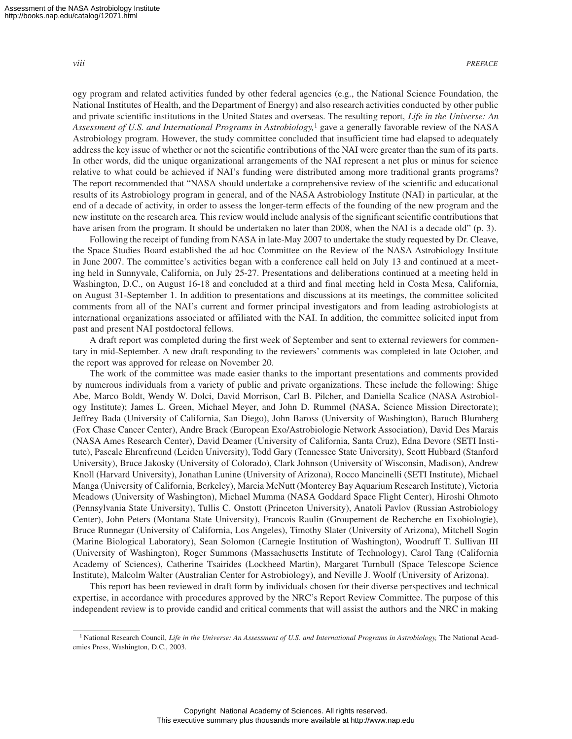ogy program and related activities funded by other federal agencies (e.g., the National Science Foundation, the National Institutes of Health, and the Department of Energy) and also research activities conducted by other public and private scientific institutions in the United States and overseas. The resulting report, *Life in the Universe: An Assessment of U.S. and International Programs in Astrobiology,*1 gave a generally favorable review of the NASA Astrobiology program. However, the study committee concluded that insufficient time had elapsed to adequately address the key issue of whether or not the scientific contributions of the NAI were greater than the sum of its parts. In other words, did the unique organizational arrangements of the NAI represent a net plus or minus for science relative to what could be achieved if NAI's funding were distributed among more traditional grants programs? The report recommended that "NASA should undertake a comprehensive review of the scientific and educational results of its Astrobiology program in general, and of the NASA Astrobiology Institute (NAI) in particular, at the end of a decade of activity, in order to assess the longer-term effects of the founding of the new program and the new institute on the research area. This review would include analysis of the significant scientific contributions that have arisen from the program. It should be undertaken no later than 2008, when the NAI is a decade old" (p. 3).

Following the receipt of funding from NASA in late-May 2007 to undertake the study requested by Dr. Cleave, the Space Studies Board established the ad hoc Committee on the Review of the NASA Astrobiology Institute in June 2007. The committee's activities began with a conference call held on July 13 and continued at a meeting held in Sunnyvale, California, on July 25-27. Presentations and deliberations continued at a meeting held in Washington, D.C., on August 16-18 and concluded at a third and final meeting held in Costa Mesa, California, on August 31-September 1. In addition to presentations and discussions at its meetings, the committee solicited comments from all of the NAI's current and former principal investigators and from leading astrobiologists at international organizations associated or affiliated with the NAI. In addition, the committee solicited input from past and present NAI postdoctoral fellows.

A draft report was completed during the first week of September and sent to external reviewers for commentary in mid-September. A new draft responding to the reviewers' comments was completed in late October, and the report was approved for release on November 20.

The work of the committee was made easier thanks to the important presentations and comments provided by numerous individuals from a variety of public and private organizations. These include the following: Shige Abe, Marco Boldt, Wendy W. Dolci, David Morrison, Carl B. Pilcher, and Daniella Scalice (NASA Astrobiology Institute); James L. Green, Michael Meyer, and John D. Rummel (NASA, Science Mission Directorate); Jeffrey Bada (University of California, San Diego), John Baross (University of Washington), Baruch Blumberg (Fox Chase Cancer Center), Andre Brack (European Exo/Astrobiologie Network Association), David Des Marais (NASA Ames Research Center), David Deamer (University of California, Santa Cruz), Edna Devore (SETI Institute), Pascale Ehrenfreund (Leiden University), Todd Gary (Tennessee State University), Scott Hubbard (Stanford University), Bruce Jakosky (University of Colorado), Clark Johnson (University of Wisconsin, Madison), Andrew Knoll (Harvard University), Jonathan Lunine (University of Arizona), Rocco Mancinelli (SETI Institute), Michael Manga (University of California, Berkeley), Marcia McNutt (Monterey Bay Aquarium Research Institute), Victoria Meadows (University of Washington), Michael Mumma (NASA Goddard Space Flight Center), Hiroshi Ohmoto (Pennsylvania State University), Tullis C. Onstott (Princeton University), Anatoli Pavlov (Russian Astrobiology Center), John Peters (Montana State University), Francois Raulin (Groupement de Recherche en Exobiologie), Bruce Runnegar (University of California, Los Angeles), Timothy Slater (University of Arizona), Mitchell Sogin (Marine Biological Laboratory), Sean Solomon (Carnegie Institution of Washington), Woodruff T. Sullivan III (University of Washington), Roger Summons (Massachusetts Institute of Technology), Carol Tang (California Academy of Sciences), Catherine Tsairides (Lockheed Martin), Margaret Turnbull (Space Telescope Science Institute), Malcolm Walter (Australian Center for Astrobiology), and Neville J. Woolf (University of Arizona).

This report has been reviewed in draft form by individuals chosen for their diverse perspectives and technical expertise, in accordance with procedures approved by the NRC's Report Review Committee. The purpose of this independent review is to provide candid and critical comments that will assist the authors and the NRC in making

<sup>&</sup>lt;sup>1</sup> National Research Council, Life in the Universe: An Assessment of U.S. and International Programs in Astrobiology, The National Academies Press, Washington, D.C., 2003.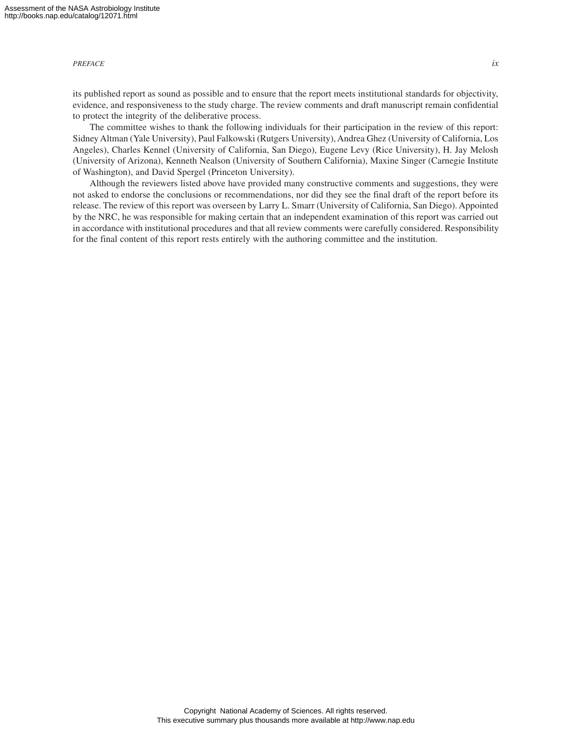#### **PREFACE** *ix*

The committee wishes to thank the following individuals for their participation in the review of this report: Sidney Altman (Yale University), Paul Falkowski (Rutgers University), Andrea Ghez (University of California, Los Angeles), Charles Kennel (University of California, San Diego), Eugene Levy (Rice University), H. Jay Melosh (University of Arizona), Kenneth Nealson (University of Southern California), Maxine Singer (Carnegie Institute of Washington), and David Spergel (Princeton University).

Although the reviewers listed above have provided many constructive comments and suggestions, they were not asked to endorse the conclusions or recommendations, nor did they see the final draft of the report before its release. The review of this report was overseen by Larry L. Smarr (University of California, San Diego). Appointed by the NRC, he was responsible for making certain that an independent examination of this report was carried out in accordance with institutional procedures and that all review comments were carefully considered. Responsibility for the final content of this report rests entirely with the authoring committee and the institution.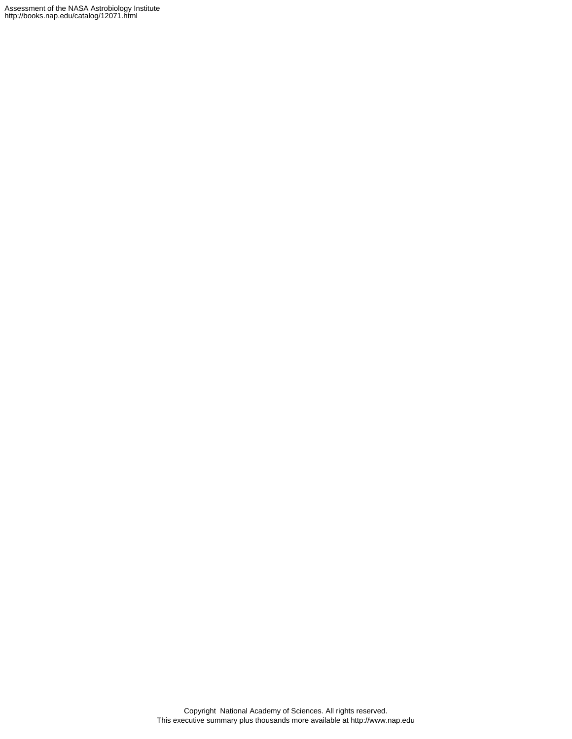Assessment of the NASA Astrobiology Institute http://books.nap.edu/catalog/12071.html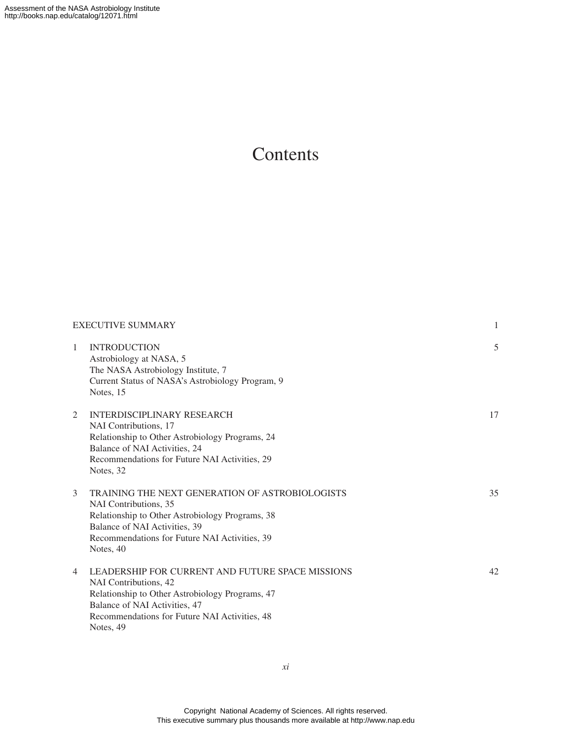# **Contents**

|                | <b>EXECUTIVE SUMMARY</b>                                                                                                                                                                                                    | 1  |
|----------------|-----------------------------------------------------------------------------------------------------------------------------------------------------------------------------------------------------------------------------|----|
| $\mathbf{1}$   | <b>INTRODUCTION</b><br>Astrobiology at NASA, 5<br>The NASA Astrobiology Institute, 7<br>Current Status of NASA's Astrobiology Program, 9<br>Notes, 15                                                                       | 5  |
| 2              | <b>INTERDISCIPLINARY RESEARCH</b><br>NAI Contributions, 17<br>Relationship to Other Astrobiology Programs, 24<br>Balance of NAI Activities, 24<br>Recommendations for Future NAI Activities, 29<br>Notes, 32                | 17 |
| 3              | TRAINING THE NEXT GENERATION OF ASTROBIOLOGISTS<br>NAI Contributions, 35<br>Relationship to Other Astrobiology Programs, 38<br>Balance of NAI Activities, 39<br>Recommendations for Future NAI Activities, 39<br>Notes, 40  | 35 |
| $\overline{4}$ | LEADERSHIP FOR CURRENT AND FUTURE SPACE MISSIONS<br>NAI Contributions, 42<br>Relationship to Other Astrobiology Programs, 47<br>Balance of NAI Activities, 47<br>Recommendations for Future NAI Activities, 48<br>Notes, 49 | 42 |